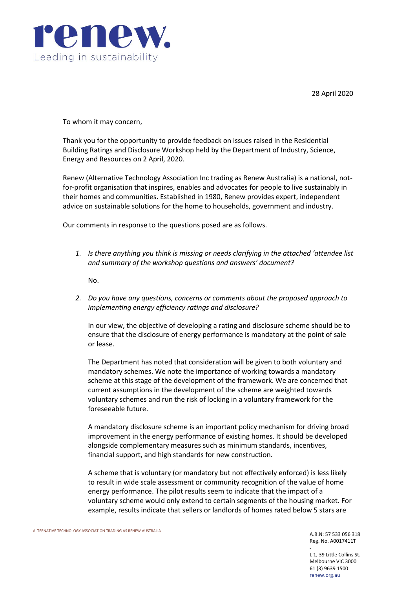

28 April 2020

To whom it may concern,

Thank you for the opportunity to provide feedback on issues raised in the Residential Building Ratings and Disclosure Workshop held by the Department of Industry, Science, Energy and Resources on 2 April, 2020.

Renew (Alternative Technology Association Inc trading as Renew Australia) is a national, notfor-profit organisation that inspires, enables and advocates for people to live sustainably in their homes and communities. Established in 1980, Renew provides expert, independent advice on sustainable solutions for the home to households, government and industry.

Our comments in response to the questions posed are as follows.

*1. Is there anything you think is missing or needs clarifying in the attached 'attendee list and summary of the workshop questions and answers' document?*

No.

*2. Do you have any questions, concerns or comments about the proposed approach to implementing energy efficiency ratings and disclosure?*

In our view, the objective of developing a rating and disclosure scheme should be to ensure that the disclosure of energy performance is mandatory at the point of sale or lease.

The Department has noted that consideration will be given to both voluntary and mandatory schemes. We note the importance of working towards a mandatory scheme at this stage of the development of the framework. We are concerned that current assumptions in the development of the scheme are weighted towards voluntary schemes and run the risk of locking in a voluntary framework for the foreseeable future.

A mandatory disclosure scheme is an important policy mechanism for driving broad improvement in the energy performance of existing homes. It should be developed alongside complementary measures such as minimum standards, incentives, financial support, and high standards for new construction.

A scheme that is voluntary (or mandatory but not effectively enforced) is less likely to result in wide scale assessment or community recognition of the value of home energy performance. The pilot results seem to indicate that the impact of a voluntary scheme would only extend to certain segments of the housing market. For example, results indicate that sellers or landlords of homes rated below 5 stars are

A.B.N: 57 533 056 318 Reg. No. A0017411T

-

L 1, 39 Little Collins St. Melbourne VIC 3000 61 (3) 9639 1500 renew.org.au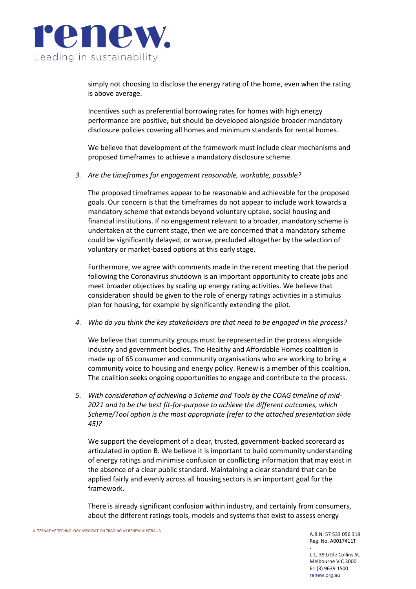

simply not choosing to disclose the energy rating of the home, even when the rating is above average.

Incentives such as preferential borrowing rates for homes with high energy performance are positive, but should be developed alongside broader mandatory disclosure policies covering all homes and minimum standards for rental homes.

We believe that development of the framework must include clear mechanisms and proposed timeframes to achieve a mandatory disclosure scheme.

*3. Are the timeframes for engagement reasonable, workable, possible?* 

The proposed timeframes appear to be reasonable and achievable for the proposed goals. Our concern is that the timeframes do not appear to include work towards a mandatory scheme that extends beyond voluntary uptake, social housing and financial institutions. If no engagement relevant to a broader, mandatory scheme is undertaken at the current stage, then we are concerned that a mandatory scheme could be significantly delayed, or worse, precluded altogether by the selection of voluntary or market-based options at this early stage.

Furthermore, we agree with comments made in the recent meeting that the period following the Coronavirus shutdown is an important opportunity to create jobs and meet broader objectives by scaling up energy rating activities. We believe that consideration should be given to the role of energy ratings activities in a stimulus plan for housing, for example by significantly extending the pilot.

*4. Who do you think the key stakeholders are that need to be engaged in the process?*

We believe that community groups must be represented in the process alongside industry and government bodies. The Healthy and Affordable Homes coalition is made up of 65 consumer and community organisations who are working to bring a community voice to housing and energy policy. Renew is a member of this coalition. The coalition seeks ongoing opportunities to engage and contribute to the process.

*5. With consideration of achieving a Scheme and Tools by the COAG timeline of mid-2021 and to be the best fit-for-purpose to achieve the different outcomes, which Scheme/Tool option is the most appropriate (refer to the attached presentation slide 45)?*

We support the development of a clear, trusted, government-backed scorecard as articulated in option B. We believe it is important to build community understanding of energy ratings and minimise confusion or conflicting information that may exist in the absence of a clear public standard. Maintaining a clear standard that can be applied fairly and evenly across all housing sectors is an important goal for the framework.

There is already significant confusion within industry, and certainly from consumers, about the different ratings tools, models and systems that exist to assess energy

-